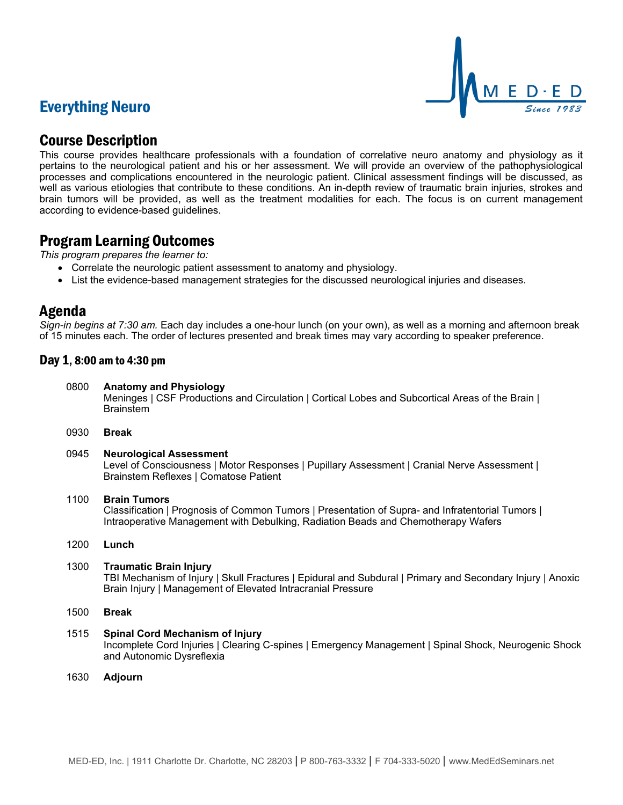# Everything Neuro



# Course Description

This course provides healthcare professionals with a foundation of correlative neuro anatomy and physiology as it pertains to the neurological patient and his or her assessment. We will provide an overview of the pathophysiological processes and complications encountered in the neurologic patient. Clinical assessment findings will be discussed, as well as various etiologies that contribute to these conditions. An in-depth review of traumatic brain injuries, strokes and brain tumors will be provided, as well as the treatment modalities for each. The focus is on current management according to evidence-based guidelines.

## Program Learning Outcomes

*This program prepares the learner to:*

- Correlate the neurologic patient assessment to anatomy and physiology.
- List the evidence-based management strategies for the discussed neurological injuries and diseases.

# Agenda

*Sign-in begins at 7:30 am.* Each day includes a one-hour lunch (on your own), as well as a morning and afternoon break of 15 minutes each. The order of lectures presented and break times may vary according to speaker preference.

### Day 1, 8:00 am to 4:30 pm

- 0800 **Anatomy and Physiology** Meninges | CSF Productions and Circulation | Cortical Lobes and Subcortical Areas of the Brain | Brainstem
- 0930 **Break**
- 0945 **Neurological Assessment** Level of Consciousness | Motor Responses | Pupillary Assessment | Cranial Nerve Assessment | Brainstem Reflexes | Comatose Patient

#### 1100 **Brain Tumors**

Classification | Prognosis of Common Tumors | Presentation of Supra- and Infratentorial Tumors | Intraoperative Management with Debulking, Radiation Beads and Chemotherapy Wafers

1200 **Lunch**

#### 1300 **Traumatic Brain Injury**

TBI Mechanism of Injury | Skull Fractures | Epidural and Subdural | Primary and Secondary Injury | Anoxic Brain Injury | Management of Elevated Intracranial Pressure

- 1500 **Break**
- 1515 **Spinal Cord Mechanism of Injury** Incomplete Cord Injuries | Clearing C-spines | Emergency Management | Spinal Shock, Neurogenic Shock and Autonomic Dysreflexia
- 1630 **Adjourn**